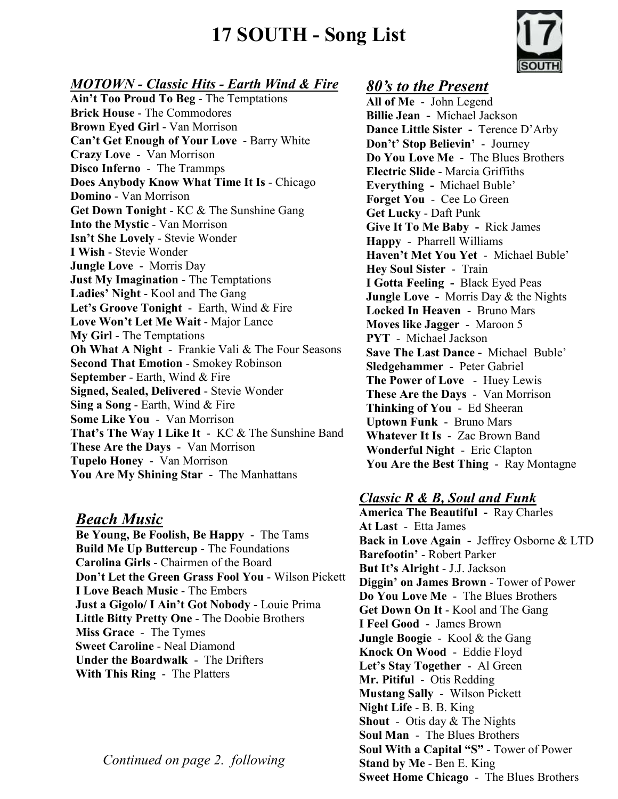# **17 SOUTH - Song List**



#### *MOTOWN - Classic Hits - Earth Wind & Fire*

**Ain't Too Proud To Beg** - The Temptations **Brick House** - The Commodores **Brown Eyed Girl** - Van Morrison **Can't Get Enough of Your Love** - Barry White **Crazy Love** - Van Morrison **Disco Inferno** - The Trammps **Does Anybody Know What Time It Is** - Chicago **Domino** - Van Morrison **Get Down Tonight** - KC & The Sunshine Gang **Into the Mystic** - Van Morrison **Isn't She Lovely** - Stevie Wonder **I Wish** - Stevie Wonder **Jungle Love** - Morris Day **Just My Imagination** - The Temptations **Ladies' Night** - Kool and The Gang **Let's Groove Tonight** - Earth, Wind & Fire Love Won't Let Me Wait - Major Lance **My Girl** - The Temptations **Oh What A Night** - Frankie Vali & The Four Seasons **Second That Emotion** - Smokey Robinson **September** - Earth, Wind & Fire **Signed, Sealed, Delivered** - Stevie Wonder **Sing a Song** - Earth, Wind & Fire **Some Like You** - Van Morrison **That's The Way I Like It** - KC & The Sunshine Band **These Are the Days** - Van Morrison **Tupelo Honey** - Van Morrison **You Are My Shining Star** - The Manhattans

## *Beach Music*

**Be Young, Be Foolish, Be Happy** - The Tams **Build Me Up Buttercup** - The Foundations **Carolina Girls** - Chairmen of the Board **Don't Let the Green Grass Fool You** - Wilson Pickett **I Love Beach Music** - The Embers **Just a Gigolo/ I Ain't Got Nobody** - Louie Prima **Little Bitty Pretty One** - The Doobie Brothers **Miss Grace** - The Tymes **Sweet Caroline** - Neal Diamond **Under the Boardwalk** - The Drifters **With This Ring** - The Platters

*Continued on page 2. following* 

## *80's to the Present*

**All of Me** - John Legend **Billie Jean -** Michael Jackson **Dance Little Sister -** Terence D'Arby **Don't' Stop Believin'** - Journey **Do You Love Me** - The Blues Brothers **Electric Slide** - Marcia Griffiths **Everything -** Michael Buble' **Forget You** - Cee Lo Green **Get Lucky** - Daft Punk **Give It To Me Baby -** Rick James **Happy** - Pharrell Williams **Haven't Met You Yet** - Michael Buble' **Hey Soul Sister** - Train **I Gotta Feeling -** Black Eyed Peas **Jungle Love -** Morris Day & the Nights **Locked In Heaven** - Bruno Mars **Moves like Jagger** - Maroon 5 **PYT** - Michael Jackson **Save The Last Dance -** Michael Buble' **Sledgehammer** - Peter Gabriel **The Power of Love** - Huey Lewis **These Are the Days** - Van Morrison **Thinking of You** - Ed Sheeran **Uptown Funk** - Bruno Mars **Whatever It Is** - Zac Brown Band **Wonderful Night** - Eric Clapton **You Are the Best Thing** - Ray Montagne

## *Classic R & B, Soul and Funk*

**America The Beautiful -** Ray Charles **At Last** - Etta James **Back in Love Again -** Jeffrey Osborne & LTD **Barefootin'** - Robert Parker **But It's Alright** - J.J. Jackson **Diggin' on James Brown** - Tower of Power **Do You Love Me** - The Blues Brothers **Get Down On It** - Kool and The Gang **I Feel Good** - James Brown **Jungle Boogie** - Kool & the Gang **Knock On Wood** - Eddie Floyd **Let's Stay Together** - Al Green **Mr. Pitiful** - Otis Redding **Mustang Sally** - Wilson Pickett **Night Life** - B. B. King **Shout** - Otis day & The Nights **Soul Man** - The Blues Brothers **Soul With a Capital "S"** - Tower of Power **Stand by Me** - Ben E. King **Sweet Home Chicago** - The Blues Brothers